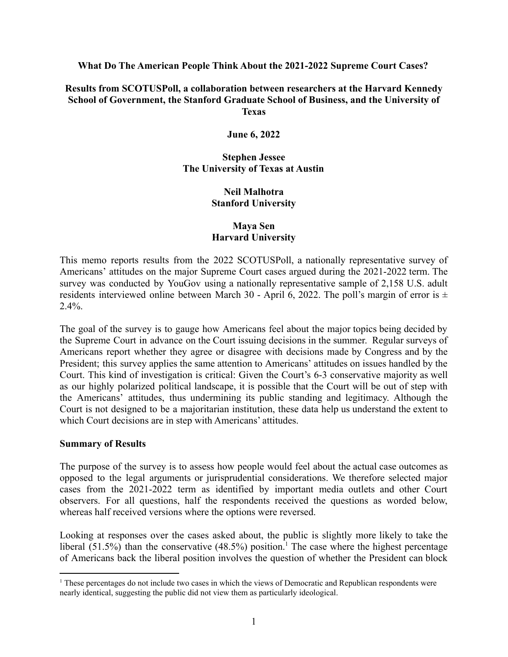#### **What Do The American People Think About the 2021-2022 Supreme Court Cases?**

#### **Results from SCOTUSPoll, a collaboration between researchers at the Harvard Kennedy School of Government, the Stanford Graduate School of Business, and the University of Texas**

**June 6, 2022**

# **Stephen Jessee The University of Texas at Austin**

# **Neil Malhotra Stanford University**

# **Maya Sen Harvard University**

This memo reports results from the 2022 SCOTUSPoll, a nationally representative survey of Americans' attitudes on the major Supreme Court cases argued during the 2021-2022 term. The survey was conducted by YouGov using a nationally representative sample of 2,158 U.S. adult residents interviewed online between March 30 - April 6, 2022. The poll's margin of error is  $\pm$  $2.4\%$ .

The goal of the survey is to gauge how Americans feel about the major topics being decided by the Supreme Court in advance on the Court issuing decisions in the summer. Regular surveys of Americans report whether they agree or disagree with decisions made by Congress and by the President; this survey applies the same attention to Americans' attitudes on issues handled by the Court. This kind of investigation is critical: Given the Court's 6-3 conservative majority as well as our highly polarized political landscape, it is possible that the Court will be out of step with the Americans' attitudes, thus undermining its public standing and legitimacy. Although the Court is not designed to be a majoritarian institution, these data help us understand the extent to which Court decisions are in step with Americans' attitudes.

#### **Summary of Results**

The purpose of the survey is to assess how people would feel about the actual case outcomes as opposed to the legal arguments or jurisprudential considerations. We therefore selected major cases from the 2021-2022 term as identified by important media outlets and other Court observers. For all questions, half the respondents received the questions as worded below, whereas half received versions where the options were reversed.

Looking at responses over the cases asked about, the public is slightly more likely to take the liberal (51.5%) than the conservative (48.5%) position.<sup>1</sup> The case where the highest percentage of Americans back the liberal position involves the question of whether the President can block

<sup>&</sup>lt;sup>1</sup> These percentages do not include two cases in which the views of Democratic and Republican respondents were nearly identical, suggesting the public did not view them as particularly ideological.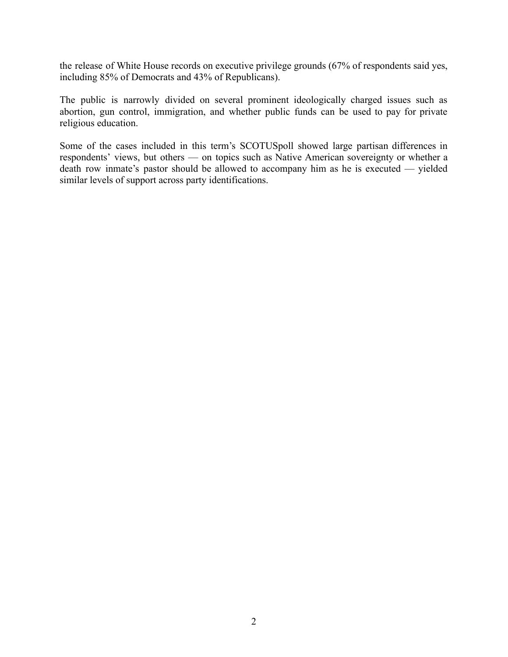the release of White House records on executive privilege grounds (67% of respondents said yes, including 85% of Democrats and 43% of Republicans).

The public is narrowly divided on several prominent ideologically charged issues such as abortion, gun control, immigration, and whether public funds can be used to pay for private religious education.

Some of the cases included in this term's SCOTUSpoll showed large partisan differences in respondents' views, but others — on topics such as Native American sovereignty or whether a death row inmate's pastor should be allowed to accompany him as he is executed — yielded similar levels of support across party identifications.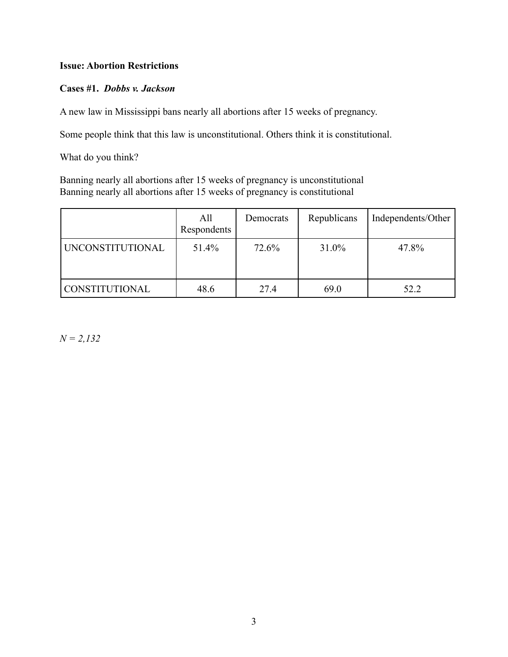# **Issue: Abortion Restrictions**

## **Cases #1.** *Dobbs v. Jackson*

A new law in Mississippi bans nearly all abortions after 15 weeks of pregnancy.

Some people think that this law is unconstitutional. Others think it is constitutional.

What do you think?

Banning nearly all abortions after 15 weeks of pregnancy is unconstitutional Banning nearly all abortions after 15 weeks of pregnancy is constitutional

|                  | All<br>Respondents | Democrats | Republicans | Independents/Other |
|------------------|--------------------|-----------|-------------|--------------------|
| UNCONSTITUTIONAL | 51.4%              | 72.6%     | 31.0%       | 47.8%              |
| CONSTITUTIONAL   | 48.6               | 27.4      | 69.0        | 52.2               |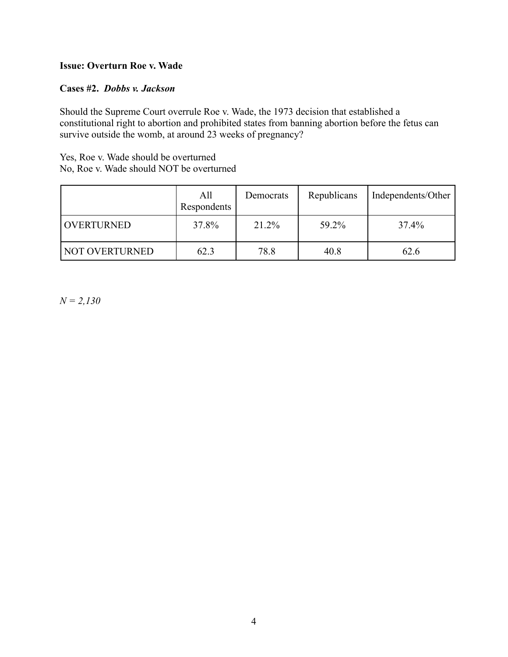# **Issue: Overturn Roe v. Wade**

#### **Cases #2.** *Dobbs v. Jackson*

Should the Supreme Court overrule Roe v. Wade, the 1973 decision that established a constitutional right to abortion and prohibited states from banning abortion before the fetus can survive outside the womb, at around 23 weeks of pregnancy?

Yes, Roe v. Wade should be overturned No, Roe v. Wade should NOT be overturned

|                       | All<br>Respondents | Democrats | Republicans | Independents/Other |
|-----------------------|--------------------|-----------|-------------|--------------------|
| <b>OVERTURNED</b>     | 37.8%              | 21.2%     | 59.2%       | 37.4%              |
| <b>NOT OVERTURNED</b> | 62.3               | 78.8      | 40.8        | 62.6               |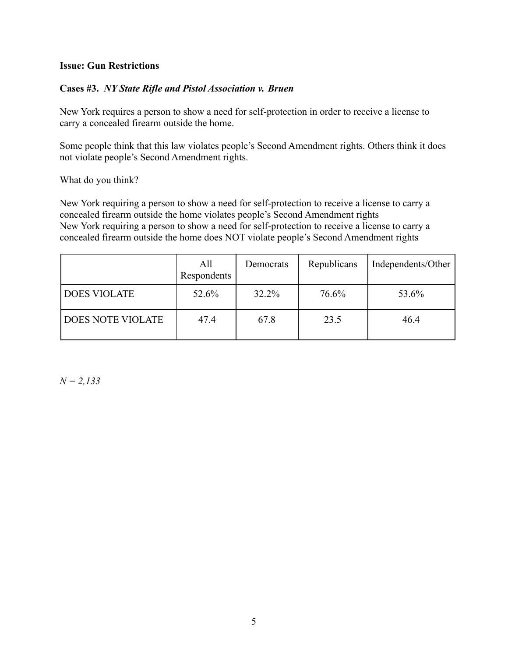#### **Issue: Gun Restrictions**

## **Cases #3.** *NY State Rifle and Pistol Association v. Bruen*

New York requires a person to show a need for self-protection in order to receive a license to carry a concealed firearm outside the home.

Some people think that this law violates people's Second Amendment rights. Others think it does not violate people's Second Amendment rights.

What do you think?

New York requiring a person to show a need for self-protection to receive a license to carry a concealed firearm outside the home violates people's Second Amendment rights New York requiring a person to show a need for self-protection to receive a license to carry a concealed firearm outside the home does NOT violate people's Second Amendment rights

|                          | All<br>Respondents | Democrats | Republicans | Independents/Other |
|--------------------------|--------------------|-----------|-------------|--------------------|
| <b>DOES VIOLATE</b>      | 52.6%              | 32.2%     | 76.6%       | 53.6%              |
| <b>DOES NOTE VIOLATE</b> | 47.4               | 67.8      | 23.5        | 46.4               |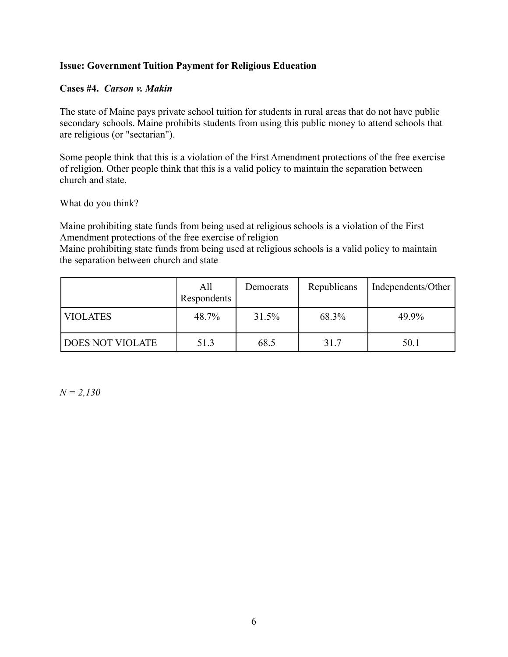# **Issue: Government Tuition Payment for Religious Education**

## **Cases #4.** *Carson v. Makin*

The state of Maine pays private school tuition for students in rural areas that do not have public secondary schools. Maine prohibits students from using this public money to attend schools that are religious (or "sectarian").

Some people think that this is a violation of the First Amendment protections of the free exercise of religion. Other people think that this is a valid policy to maintain the separation between church and state.

What do you think?

Maine prohibiting state funds from being used at religious schools is a violation of the First Amendment protections of the free exercise of religion

Maine prohibiting state funds from being used at religious schools is a valid policy to maintain the separation between church and state

|                         | All<br>Respondents | Democrats | Republicans | Independents/Other |
|-------------------------|--------------------|-----------|-------------|--------------------|
| <b>VIOLATES</b>         | 48.7%              | 31.5%     | 68.3%       | 49.9%              |
| <b>DOES NOT VIOLATE</b> | 51.3               | 68.5      | 31.7        | 50.1               |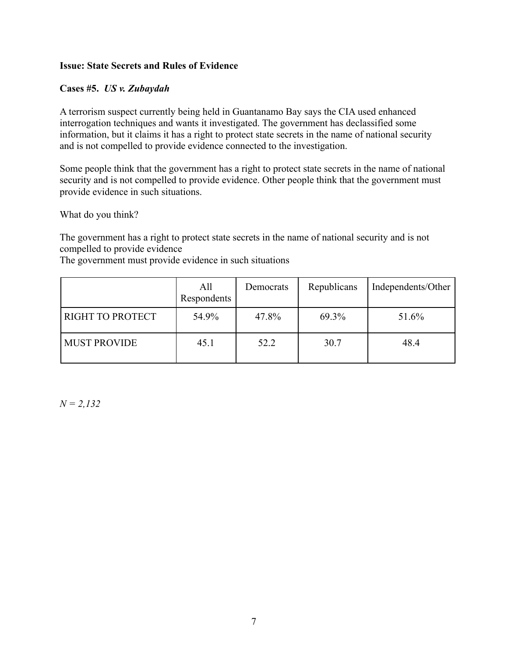# **Issue: State Secrets and Rules of Evidence**

## **Cases #5.** *US v. Zubaydah*

A terrorism suspect currently being held in Guantanamo Bay says the CIA used enhanced interrogation techniques and wants it investigated. The government has declassified some information, but it claims it has a right to protect state secrets in the name of national security and is not compelled to provide evidence connected to the investigation.

Some people think that the government has a right to protect state secrets in the name of national security and is not compelled to provide evidence. Other people think that the government must provide evidence in such situations.

What do you think?

The government has a right to protect state secrets in the name of national security and is not compelled to provide evidence

The government must provide evidence in such situations

|                     | All<br>Respondents | Democrats | Republicans | Independents/Other |
|---------------------|--------------------|-----------|-------------|--------------------|
| RIGHT TO PROTECT    | 54.9%              | 47.8%     | 69.3%       | 51.6%              |
| <b>MUST PROVIDE</b> | 45.1               | 52.2      | 30.7        | 48.4               |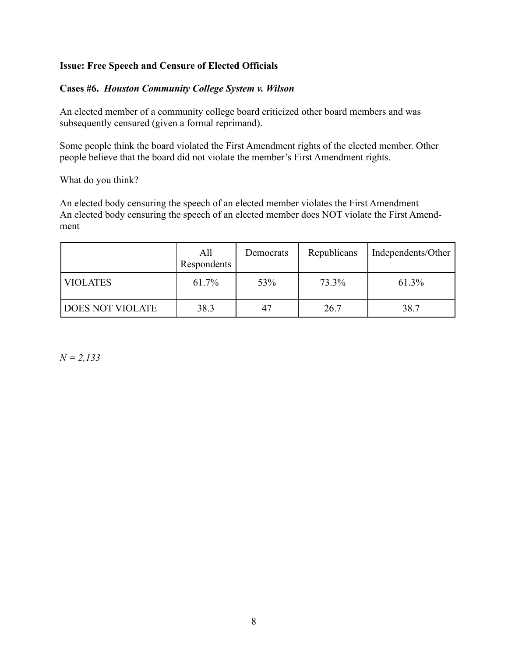# **Issue: Free Speech and Censure of Elected Officials**

## **Cases #6.** *Houston Community College System v. Wilson*

An elected member of a community college board criticized other board members and was subsequently censured (given a formal reprimand).

Some people think the board violated the First Amendment rights of the elected member. Other people believe that the board did not violate the member's First Amendment rights.

What do you think?

An elected body censuring the speech of an elected member violates the First Amendment An elected body censuring the speech of an elected member does NOT violate the First Amendment

|                         | All<br>Respondents | Democrats | Republicans | Independents/Other |
|-------------------------|--------------------|-----------|-------------|--------------------|
| <b>VIOLATES</b>         | 61.7%              | 53%       | 73.3%       | 61.3%              |
| <b>DOES NOT VIOLATE</b> | 38.3               | 47        | 26.7        | 38.7               |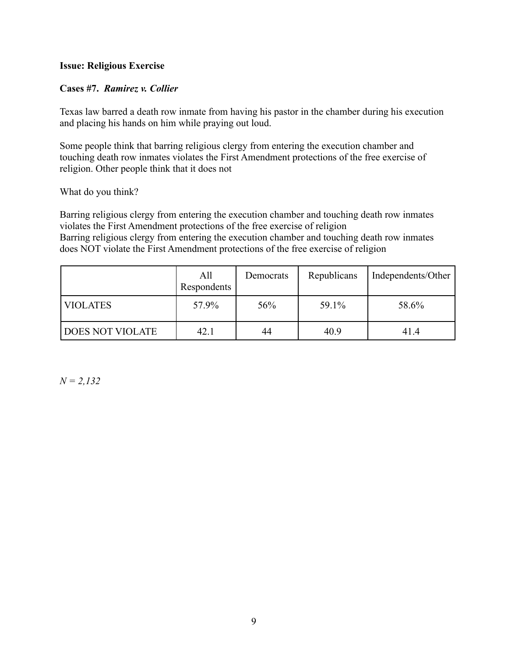### **Issue: Religious Exercise**

## **Cases #7.** *Ramirez v. Collier*

Texas law barred a death row inmate from having his pastor in the chamber during his execution and placing his hands on him while praying out loud.

Some people think that barring religious clergy from entering the execution chamber and touching death row inmates violates the First Amendment protections of the free exercise of religion. Other people think that it does not

#### What do you think?

Barring religious clergy from entering the execution chamber and touching death row inmates violates the First Amendment protections of the free exercise of religion Barring religious clergy from entering the execution chamber and touching death row inmates does NOT violate the First Amendment protections of the free exercise of religion

|                         | All<br>Respondents | Democrats | Republicans | Independents/Other |
|-------------------------|--------------------|-----------|-------------|--------------------|
| <b>VIOLATES</b>         | 57.9%              | 56%       | 59.1%       | 58.6%              |
| <b>DOES NOT VIOLATE</b> | 42.1               | 44        | 40.9        | 41.4               |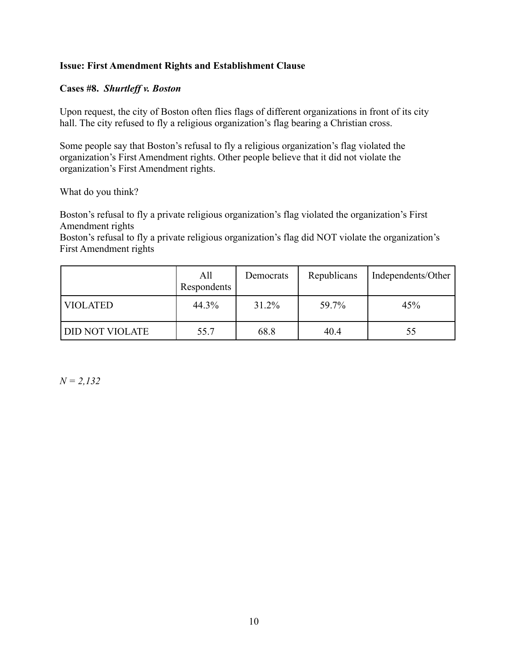## **Issue: First Amendment Rights and Establishment Clause**

### **Cases #8.** *Shurtleff v. Boston*

Upon request, the city of Boston often flies flags of different organizations in front of its city hall. The city refused to fly a religious organization's flag bearing a Christian cross.

Some people say that Boston's refusal to fly a religious organization's flag violated the organization's First Amendment rights. Other people believe that it did not violate the organization's First Amendment rights.

What do you think?

Boston's refusal to fly a private religious organization's flag violated the organization's First Amendment rights

Boston's refusal to fly a private religious organization's flag did NOT violate the organization's First Amendment rights

|                        | All<br>Respondents | Democrats | Republicans | Independents/Other |
|------------------------|--------------------|-----------|-------------|--------------------|
| <b>VIOLATED</b>        | 44.3%              | 31.2%     | 59.7%       | 45%                |
| <b>DID NOT VIOLATE</b> | 55.7               | 68.8      | 40.4        | 55                 |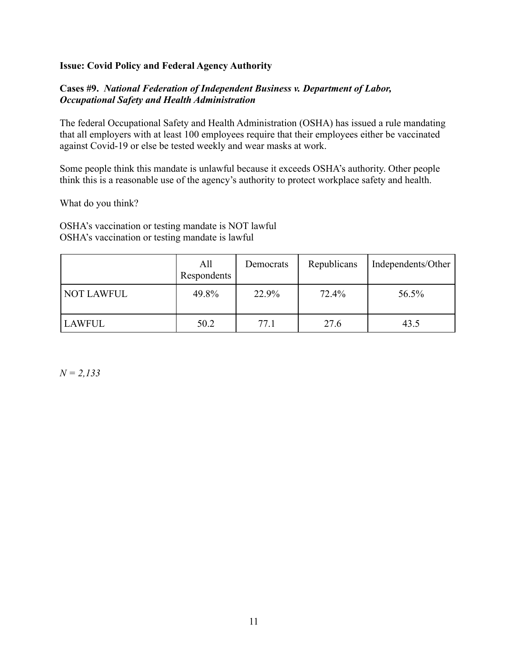## **Issue: Covid Policy and Federal Agency Authority**

## **Cases #9.** *National Federation of Independent Business v. Department of Labor, Occupational Safety and Health Administration*

The federal Occupational Safety and Health Administration (OSHA) has issued a rule mandating that all employers with at least 100 employees require that their employees either be vaccinated against Covid-19 or else be tested weekly and wear masks at work.

Some people think this mandate is unlawful because it exceeds OSHA's authority. Other people think this is a reasonable use of the agency's authority to protect workplace safety and health.

What do you think?

OSHA's vaccination or testing mandate is NOT lawful OSHA's vaccination or testing mandate is lawful

|                   | All<br>Respondents | Democrats | Republicans | Independents/Other |
|-------------------|--------------------|-----------|-------------|--------------------|
| <b>NOT LAWFUL</b> | 49.8%              | 22.9%     | 72.4%       | 56.5%              |
| <b>LAWFUL</b>     | 50.2               | 77.1      | 27.6        | 43.5               |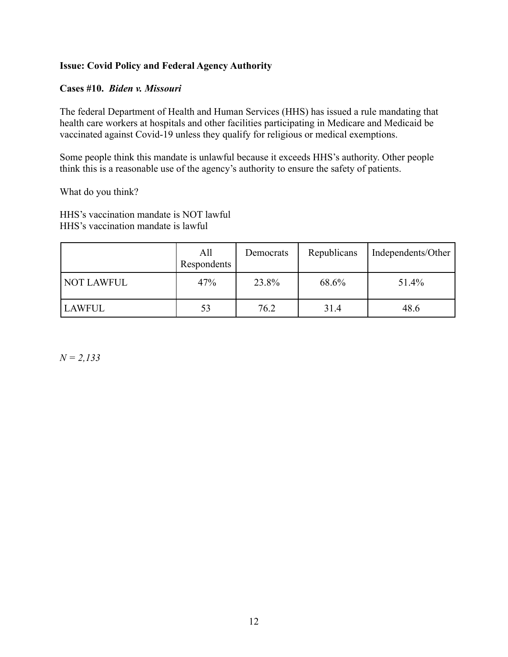# **Issue: Covid Policy and Federal Agency Authority**

## **Cases #10.** *Biden v. Missouri*

The federal Department of Health and Human Services (HHS) has issued a rule mandating that health care workers at hospitals and other facilities participating in Medicare and Medicaid be vaccinated against Covid-19 unless they qualify for religious or medical exemptions.

Some people think this mandate is unlawful because it exceeds HHS's authority. Other people think this is a reasonable use of the agency's authority to ensure the safety of patients.

What do you think?

HHS's vaccination mandate is NOT lawful HHS's vaccination mandate is lawful

|               | All<br>Respondents | Democrats | Republicans | Independents/Other |
|---------------|--------------------|-----------|-------------|--------------------|
| NOT LAWFUL    | 47%                | 23.8%     | 68.6%       | 51.4%              |
| <b>LAWFUL</b> | 53                 | 76.2      | 31.4        | 48.6               |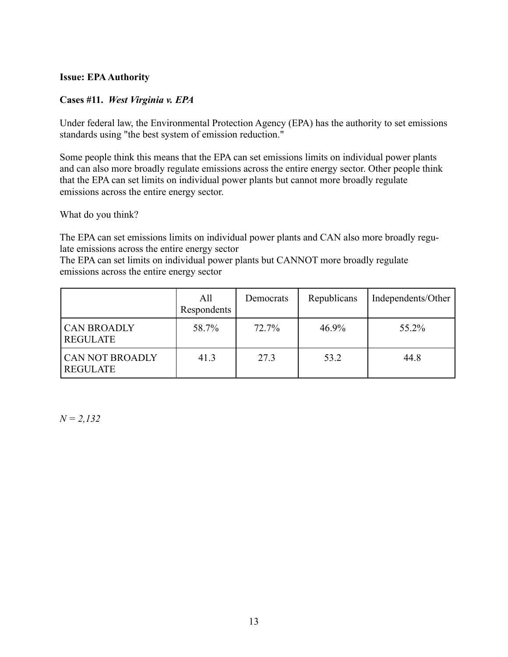## **Issue: EPAAuthority**

# **Cases #11.** *West Virginia v. EPA*

Under federal law, the Environmental Protection Agency (EPA) has the authority to set emissions standards using "the best system of emission reduction."

Some people think this means that the EPA can set emissions limits on individual power plants and can also more broadly regulate emissions across the entire energy sector. Other people think that the EPA can set limits on individual power plants but cannot more broadly regulate emissions across the entire energy sector.

What do you think?

The EPA can set emissions limits on individual power plants and CAN also more broadly regulate emissions across the entire energy sector

The EPA can set limits on individual power plants but CANNOT more broadly regulate emissions across the entire energy sector

|                                           | All<br>Respondents | Democrats | Republicans | Independents/Other |
|-------------------------------------------|--------------------|-----------|-------------|--------------------|
| <b>CAN BROADLY</b><br><b>REGULATE</b>     | 58.7%              | 72.7%     | $46.9\%$    | 55.2%              |
| <b>CAN NOT BROADLY</b><br><b>REGULATE</b> | 41.3               | 27.3      | 53.2        | 44.8               |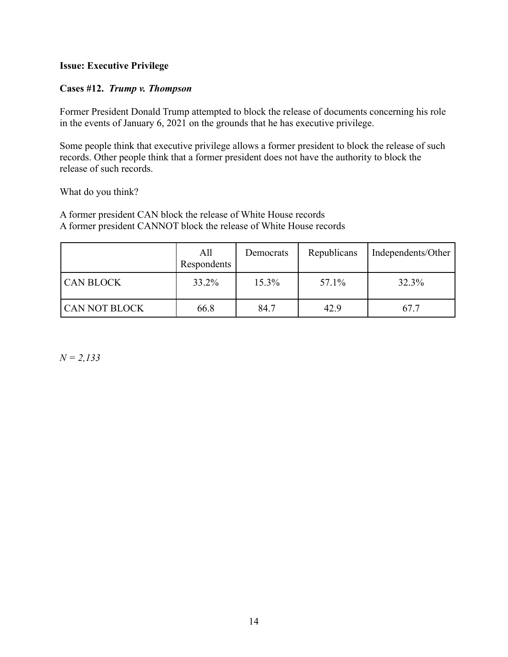# **Issue: Executive Privilege**

## **Cases #12.** *Trump v. Thompson*

Former President Donald Trump attempted to block the release of documents concerning his role in the events of January 6, 2021 on the grounds that he has executive privilege.

Some people think that executive privilege allows a former president to block the release of such records. Other people think that a former president does not have the authority to block the release of such records.

What do you think?

A former president CAN block the release of White House records A former president CANNOT block the release of White House records

|                      | All<br>Respondents | Democrats | Republicans | Independents/Other |
|----------------------|--------------------|-----------|-------------|--------------------|
| <b>CAN BLOCK</b>     | 33.2%              | $15.3\%$  | 57.1%       | 32.3%              |
| <b>CAN NOT BLOCK</b> | 66.8               | 84.7      | 42.9        | 67.7               |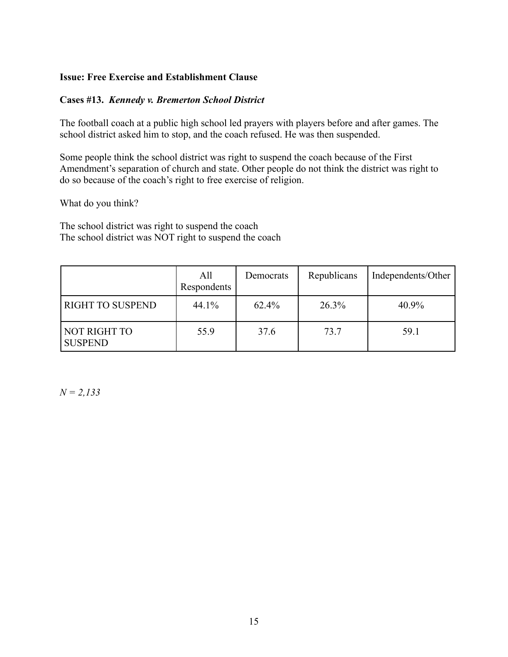## **Issue: Free Exercise and Establishment Clause**

## **Cases #13.** *Kennedy v. Bremerton School District*

The football coach at a public high school led prayers with players before and after games. The school district asked him to stop, and the coach refused. He was then suspended.

Some people think the school district was right to suspend the coach because of the First Amendment's separation of church and state. Other people do not think the district was right to do so because of the coach's right to free exercise of religion.

What do you think?

The school district was right to suspend the coach The school district was NOT right to suspend the coach

|                                | All<br>Respondents | Democrats | Republicans | Independents/Other |
|--------------------------------|--------------------|-----------|-------------|--------------------|
| <b>RIGHT TO SUSPEND</b>        | 44.1%              | $62.4\%$  | 26.3%       | 40.9%              |
| NOT RIGHT TO<br><b>SUSPEND</b> | 55.9               | 37.6      | 73.7        | 59.1               |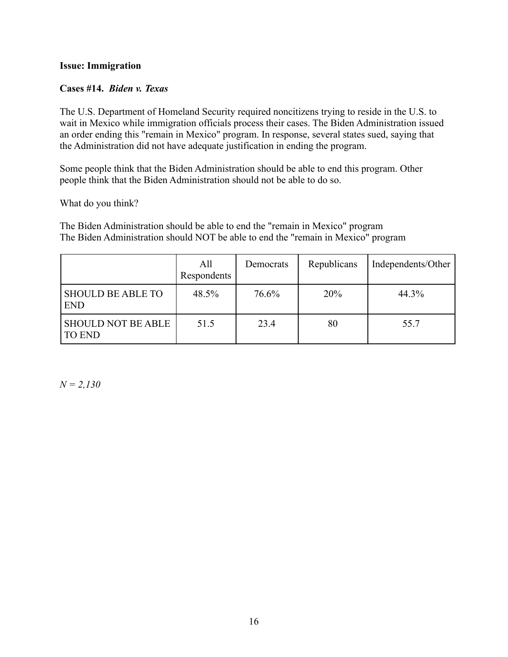### **Issue: Immigration**

## **Cases #14.** *Biden v. Texas*

The U.S. Department of Homeland Security required noncitizens trying to reside in the U.S. to wait in Mexico while immigration officials process their cases. The Biden Administration issued an order ending this "remain in Mexico" program. In response, several states sued, saying that the Administration did not have adequate justification in ending the program.

Some people think that the Biden Administration should be able to end this program. Other people think that the Biden Administration should not be able to do so.

What do you think?

The Biden Administration should be able to end the "remain in Mexico" program The Biden Administration should NOT be able to end the "remain in Mexico" program

|                                            | All<br>Respondents | Democrats | Republicans | Independents/Other |
|--------------------------------------------|--------------------|-----------|-------------|--------------------|
| <b>SHOULD BE ABLE TO</b><br><b>END</b>     | 48.5%              | 76.6%     | 20%         | 44.3%              |
| <b>SHOULD NOT BE ABLE</b><br><b>TO END</b> | 51.5               | 23.4      | 80          | 55.7               |